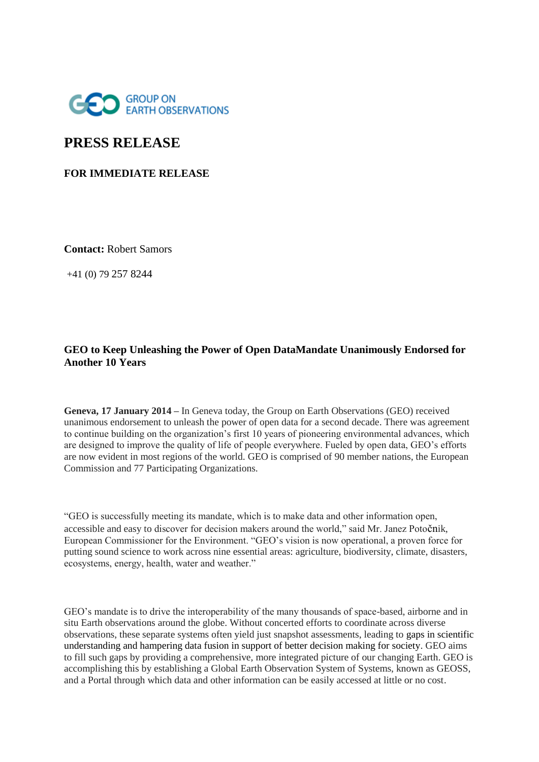

# **PRESS RELEASE**

## **FOR IMMEDIATE RELEASE**

**Contact:** Robert Samors

+41 (0) 79 257 8244

## **GEO to Keep Unleashing the Power of Open DataMandate Unanimously Endorsed for Another 10 Years**

**Geneva, 17 January 2014 –** In Geneva today, the Group on Earth Observations (GEO) received unanimous endorsement to unleash the power of open data for a second decade. There was agreement to continue building on the organization's first 10 years of pioneering environmental advances, which are designed to improve the quality of life of people everywhere. Fueled by open data, GEO's efforts are now evident in most regions of the world. GEO is comprised of 90 member nations, the European Commission and 77 Participating Organizations.

"GEO is successfully meeting its mandate, which is to make data and other information open, accessible and easy to discover for decision makers around the world," said Mr. Janez Potočnik, European Commissioner for the Environment. "GEO's vision is now operational, a proven force for putting sound science to work across nine essential areas: agriculture, biodiversity, climate, disasters, ecosystems, energy, health, water and weather."

GEO's mandate is to drive the interoperability of the many thousands of space-based, airborne and in situ Earth observations around the globe. Without concerted efforts to coordinate across diverse observations, these separate systems often yield just snapshot assessments, leading to gaps in scientific understanding and hampering data fusion in support of better decision making for society. GEO aims to fill such gaps by providing a comprehensive, more integrated picture of our changing Earth. GEO is accomplishing this by establishing a Global Earth Observation System of Systems, known as GEOSS, and a Portal through which data and other information can be easily accessed at little or no cost.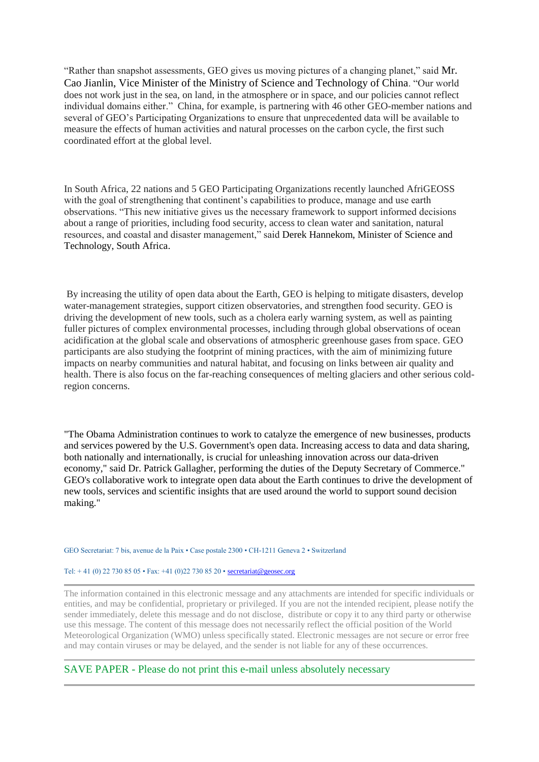"Rather than snapshot assessments, GEO gives us moving pictures of a changing planet," said Mr. Cao Jianlin, Vice Minister of the Ministry of Science and Technology of China. "Our world does not work just in the sea, on land, in the atmosphere or in space, and our policies cannot reflect individual domains either." China, for example, is partnering with 46 other GEO-member nations and several of GEO's Participating Organizations to ensure that unprecedented data will be available to measure the effects of human activities and natural processes on the carbon cycle, the first such coordinated effort at the global level.

In South Africa, 22 nations and 5 GEO Participating Organizations recently launched AfriGEOSS with the goal of strengthening that continent's capabilities to produce, manage and use earth observations. "This new initiative gives us the necessary framework to support informed decisions about a range of priorities, including food security, access to clean water and sanitation, natural resources, and coastal and disaster management," said Derek Hannekom, Minister of Science and Technology, South Africa.

By increasing the utility of open data about the Earth, GEO is helping to mitigate disasters, develop water-management strategies, support citizen observatories, and strengthen food security. GEO is driving the development of new tools, such as a cholera early warning system, as well as painting fuller pictures of complex environmental processes, including through global observations of ocean acidification at the global scale and observations of atmospheric greenhouse gases from space. GEO participants are also studying the footprint of mining practices, with the aim of minimizing future impacts on nearby communities and natural habitat, and focusing on links between air quality and health. There is also focus on the far-reaching consequences of melting glaciers and other serious coldregion concerns.

"The Obama Administration continues to work to catalyze the emergence of new businesses, products and services powered by the U.S. Government's open data. Increasing access to data and data sharing, both nationally and internationally, is crucial for unleashing innovation across our data-driven economy," said Dr. Patrick Gallagher, performing the duties of the Deputy Secretary of Commerce." GEO's collaborative work to integrate open data about the Earth continues to drive the development of new tools, services and scientific insights that are used around the world to support sound decision making."

#### GEO Secretariat: 7 bis, avenue de la Paix • Case postale 2300 • CH-1211 Geneva 2 • Switzerland

#### Tel:  $+41$  (0) 22 730 85 05 • Fax:  $+41$  (0) 22 730 85 20 • [secretariat@geosec.org](mailto:secretariat@geosec.org)

The information contained in this electronic message and any attachments are intended for specific individuals or entities, and may be confidential, proprietary or privileged. If you are not the intended recipient, please notify the sender immediately, delete this message and do not disclose, distribute or copy it to any third party or otherwise use this message. The content of this message does not necessarily reflect the official position of the World Meteorological Organization (WMO) unless specifically stated. Electronic messages are not secure or error free and may contain viruses or may be delayed, and the sender is not liable for any of these occurrences.

SAVE PAPER - Please do not print this e-mail unless absolutely necessary